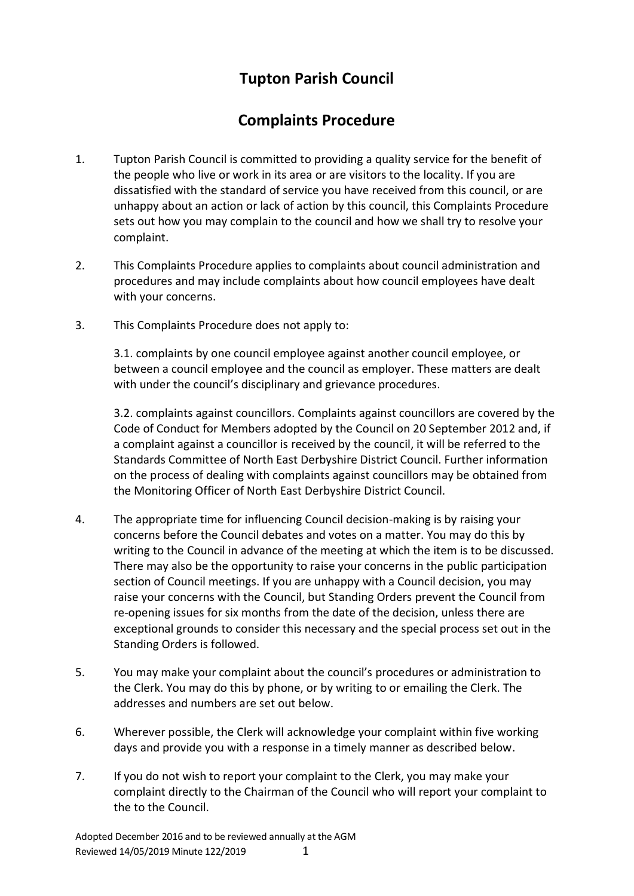## **Tupton Parish Council**

## **Complaints Procedure**

- 1. Tupton Parish Council is committed to providing a quality service for the benefit of the people who live or work in its area or are visitors to the locality. If you are dissatisfied with the standard of service you have received from this council, or are unhappy about an action or lack of action by this council, this Complaints Procedure sets out how you may complain to the council and how we shall try to resolve your complaint.
- 2. This Complaints Procedure applies to complaints about council administration and procedures and may include complaints about how council employees have dealt with your concerns.
- 3. This Complaints Procedure does not apply to:

3.1. complaints by one council employee against another council employee, or between a council employee and the council as employer. These matters are dealt with under the council's disciplinary and grievance procedures.

3.2. complaints against councillors. Complaints against councillors are covered by the Code of Conduct for Members adopted by the Council on 20 September 2012 and, if a complaint against a councillor is received by the council, it will be referred to the Standards Committee of North East Derbyshire District Council. Further information on the process of dealing with complaints against councillors may be obtained from the Monitoring Officer of North East Derbyshire District Council.

- 4. The appropriate time for influencing Council decision-making is by raising your concerns before the Council debates and votes on a matter. You may do this by writing to the Council in advance of the meeting at which the item is to be discussed. There may also be the opportunity to raise your concerns in the public participation section of Council meetings. If you are unhappy with a Council decision, you may raise your concerns with the Council, but Standing Orders prevent the Council from re-opening issues for six months from the date of the decision, unless there are exceptional grounds to consider this necessary and the special process set out in the Standing Orders is followed.
- 5. You may make your complaint about the council's procedures or administration to the Clerk. You may do this by phone, or by writing to or emailing the Clerk. The addresses and numbers are set out below.
- 6. Wherever possible, the Clerk will acknowledge your complaint within five working days and provide you with a response in a timely manner as described below.
- 7. If you do not wish to report your complaint to the Clerk, you may make your complaint directly to the Chairman of the Council who will report your complaint to the to the Council.